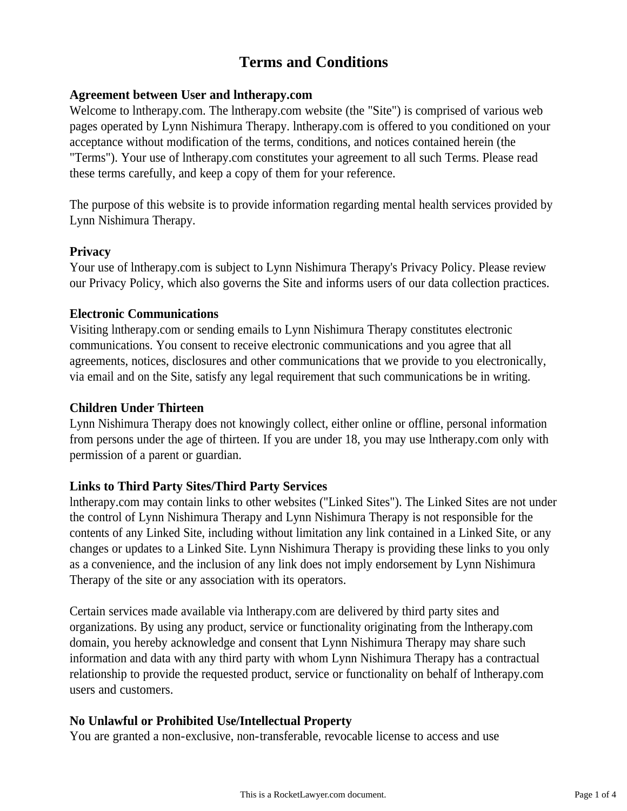# **Terms and Conditions**

### **Agreement between User and lntherapy.com**

Welcome to lntherapy.com. The lntherapy.com website (the "Site") is comprised of various web pages operated by Lynn Nishimura Therapy. lntherapy.com is offered to you conditioned on your acceptance without modification of the terms, conditions, and notices contained herein (the "Terms"). Your use of lntherapy.com constitutes your agreement to all such Terms. Please read these terms carefully, and keep a copy of them for your reference.

The purpose of this website is to provide information regarding mental health services provided by Lynn Nishimura Therapy.

#### **Privacy**

Your use of lntherapy.com is subject to Lynn Nishimura Therapy's Privacy Policy. Please review our Privacy Policy, which also governs the Site and informs users of our data collection practices.

#### **Electronic Communications**

Visiting lntherapy.com or sending emails to Lynn Nishimura Therapy constitutes electronic communications. You consent to receive electronic communications and you agree that all agreements, notices, disclosures and other communications that we provide to you electronically, via email and on the Site, satisfy any legal requirement that such communications be in writing.

#### **Children Under Thirteen**

Lynn Nishimura Therapy does not knowingly collect, either online or offline, personal information from persons under the age of thirteen. If you are under 18, you may use lntherapy.com only with permission of a parent or guardian.

#### **Links to Third Party Sites/Third Party Services**

lntherapy.com may contain links to other websites ("Linked Sites"). The Linked Sites are not under the control of Lynn Nishimura Therapy and Lynn Nishimura Therapy is not responsible for the contents of any Linked Site, including without limitation any link contained in a Linked Site, or any changes or updates to a Linked Site. Lynn Nishimura Therapy is providing these links to you only as a convenience, and the inclusion of any link does not imply endorsement by Lynn Nishimura Therapy of the site or any association with its operators.

Certain services made available via lntherapy.com are delivered by third party sites and organizations. By using any product, service or functionality originating from the lntherapy.com domain, you hereby acknowledge and consent that Lynn Nishimura Therapy may share such information and data with any third party with whom Lynn Nishimura Therapy has a contractual relationship to provide the requested product, service or functionality on behalf of lntherapy.com users and customers.

#### **No Unlawful or Prohibited Use/Intellectual Property**

You are granted a non-exclusive, non-transferable, revocable license to access and use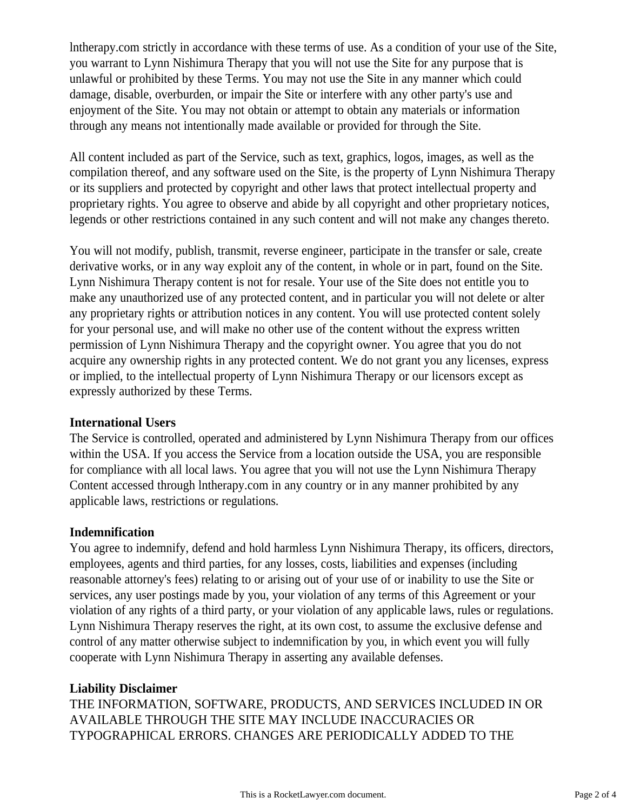lntherapy.com strictly in accordance with these terms of use. As a condition of your use of the Site, you warrant to Lynn Nishimura Therapy that you will not use the Site for any purpose that is unlawful or prohibited by these Terms. You may not use the Site in any manner which could damage, disable, overburden, or impair the Site or interfere with any other party's use and enjoyment of the Site. You may not obtain or attempt to obtain any materials or information through any means not intentionally made available or provided for through the Site.

All content included as part of the Service, such as text, graphics, logos, images, as well as the compilation thereof, and any software used on the Site, is the property of Lynn Nishimura Therapy or its suppliers and protected by copyright and other laws that protect intellectual property and proprietary rights. You agree to observe and abide by all copyright and other proprietary notices, legends or other restrictions contained in any such content and will not make any changes thereto.

You will not modify, publish, transmit, reverse engineer, participate in the transfer or sale, create derivative works, or in any way exploit any of the content, in whole or in part, found on the Site. Lynn Nishimura Therapy content is not for resale. Your use of the Site does not entitle you to make any unauthorized use of any protected content, and in particular you will not delete or alter any proprietary rights or attribution notices in any content. You will use protected content solely for your personal use, and will make no other use of the content without the express written permission of Lynn Nishimura Therapy and the copyright owner. You agree that you do not acquire any ownership rights in any protected content. We do not grant you any licenses, express or implied, to the intellectual property of Lynn Nishimura Therapy or our licensors except as expressly authorized by these Terms.

#### **International Users**

The Service is controlled, operated and administered by Lynn Nishimura Therapy from our offices within the USA. If you access the Service from a location outside the USA, you are responsible for compliance with all local laws. You agree that you will not use the Lynn Nishimura Therapy Content accessed through lntherapy.com in any country or in any manner prohibited by any applicable laws, restrictions or regulations.

## **Indemnification**

You agree to indemnify, defend and hold harmless Lynn Nishimura Therapy, its officers, directors, employees, agents and third parties, for any losses, costs, liabilities and expenses (including reasonable attorney's fees) relating to or arising out of your use of or inability to use the Site or services, any user postings made by you, your violation of any terms of this Agreement or your violation of any rights of a third party, or your violation of any applicable laws, rules or regulations. Lynn Nishimura Therapy reserves the right, at its own cost, to assume the exclusive defense and control of any matter otherwise subject to indemnification by you, in which event you will fully cooperate with Lynn Nishimura Therapy in asserting any available defenses.

## **Liability Disclaimer**

THE INFORMATION, SOFTWARE, PRODUCTS, AND SERVICES INCLUDED IN OR AVAILABLE THROUGH THE SITE MAY INCLUDE INACCURACIES OR TYPOGRAPHICAL ERRORS. CHANGES ARE PERIODICALLY ADDED TO THE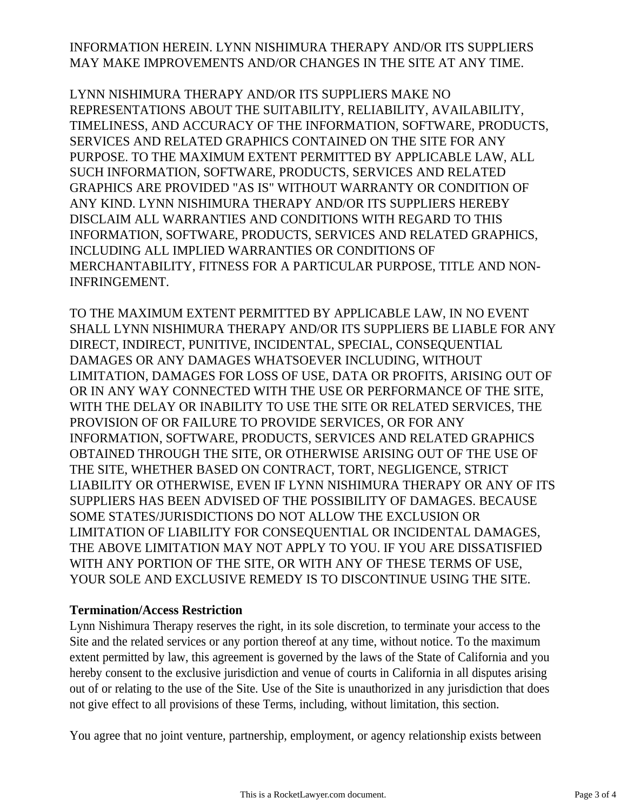INFORMATION HEREIN. LYNN NISHIMURA THERAPY AND/OR ITS SUPPLIERS MAY MAKE IMPROVEMENTS AND/OR CHANGES IN THE SITE AT ANY TIME.

LYNN NISHIMURA THERAPY AND/OR ITS SUPPLIERS MAKE NO REPRESENTATIONS ABOUT THE SUITABILITY, RELIABILITY, AVAILABILITY, TIMELINESS, AND ACCURACY OF THE INFORMATION, SOFTWARE, PRODUCTS, SERVICES AND RELATED GRAPHICS CONTAINED ON THE SITE FOR ANY PURPOSE. TO THE MAXIMUM EXTENT PERMITTED BY APPLICABLE LAW, ALL SUCH INFORMATION, SOFTWARE, PRODUCTS, SERVICES AND RELATED GRAPHICS ARE PROVIDED "AS IS" WITHOUT WARRANTY OR CONDITION OF ANY KIND. LYNN NISHIMURA THERAPY AND/OR ITS SUPPLIERS HEREBY DISCLAIM ALL WARRANTIES AND CONDITIONS WITH REGARD TO THIS INFORMATION, SOFTWARE, PRODUCTS, SERVICES AND RELATED GRAPHICS, INCLUDING ALL IMPLIED WARRANTIES OR CONDITIONS OF MERCHANTABILITY, FITNESS FOR A PARTICULAR PURPOSE, TITLE AND NON-INFRINGEMENT.

TO THE MAXIMUM EXTENT PERMITTED BY APPLICABLE LAW, IN NO EVENT SHALL LYNN NISHIMURA THERAPY AND/OR ITS SUPPLIERS BE LIABLE FOR ANY DIRECT, INDIRECT, PUNITIVE, INCIDENTAL, SPECIAL, CONSEQUENTIAL DAMAGES OR ANY DAMAGES WHATSOEVER INCLUDING, WITHOUT LIMITATION, DAMAGES FOR LOSS OF USE, DATA OR PROFITS, ARISING OUT OF OR IN ANY WAY CONNECTED WITH THE USE OR PERFORMANCE OF THE SITE, WITH THE DELAY OR INABILITY TO USE THE SITE OR RELATED SERVICES, THE PROVISION OF OR FAILURE TO PROVIDE SERVICES, OR FOR ANY INFORMATION, SOFTWARE, PRODUCTS, SERVICES AND RELATED GRAPHICS OBTAINED THROUGH THE SITE, OR OTHERWISE ARISING OUT OF THE USE OF THE SITE, WHETHER BASED ON CONTRACT, TORT, NEGLIGENCE, STRICT LIABILITY OR OTHERWISE, EVEN IF LYNN NISHIMURA THERAPY OR ANY OF ITS SUPPLIERS HAS BEEN ADVISED OF THE POSSIBILITY OF DAMAGES. BECAUSE SOME STATES/JURISDICTIONS DO NOT ALLOW THE EXCLUSION OR LIMITATION OF LIABILITY FOR CONSEQUENTIAL OR INCIDENTAL DAMAGES, THE ABOVE LIMITATION MAY NOT APPLY TO YOU. IF YOU ARE DISSATISFIED WITH ANY PORTION OF THE SITE, OR WITH ANY OF THESE TERMS OF USE, YOUR SOLE AND EXCLUSIVE REMEDY IS TO DISCONTINUE USING THE SITE.

#### **Termination/Access Restriction**

Lynn Nishimura Therapy reserves the right, in its sole discretion, to terminate your access to the Site and the related services or any portion thereof at any time, without notice. To the maximum extent permitted by law, this agreement is governed by the laws of the State of California and you hereby consent to the exclusive jurisdiction and venue of courts in California in all disputes arising out of or relating to the use of the Site. Use of the Site is unauthorized in any jurisdiction that does not give effect to all provisions of these Terms, including, without limitation, this section.

You agree that no joint venture, partnership, employment, or agency relationship exists between